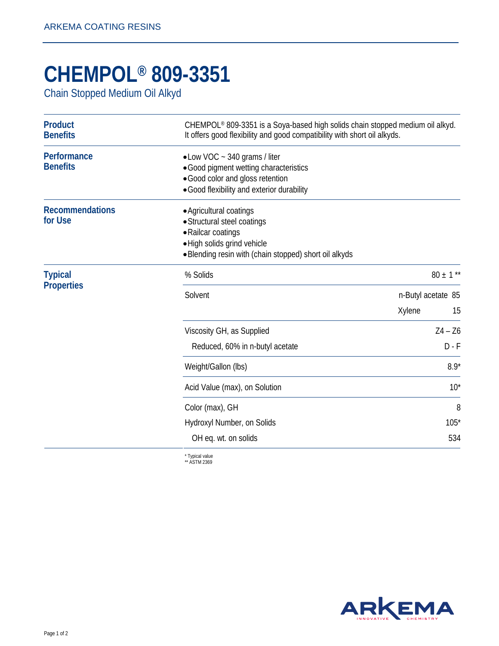## **CHEMPOL® 809-3351**

Chain Stopped Medium Oil Alkyd

| <b>Product</b><br><b>Benefits</b>   | CHEMPOL® 809-3351 is a Soya-based high solids chain stopped medium oil alkyd.<br>It offers good flexibility and good compatibility with short oil alkyds.             |                                    |
|-------------------------------------|-----------------------------------------------------------------------------------------------------------------------------------------------------------------------|------------------------------------|
| Performance<br><b>Benefits</b>      | • Low VOC ~ 340 grams / liter<br>• Good pigment wetting characteristics<br>• Good color and gloss retention<br>• Good flexibility and exterior durability             |                                    |
| <b>Recommendations</b><br>for Use   | • Agricultural coatings<br>• Structural steel coatings<br>• Railcar coatings<br>. High solids grind vehicle<br>• Blending resin with (chain stopped) short oil alkyds |                                    |
| <b>Typical</b><br><b>Properties</b> | % Solids                                                                                                                                                              | $80 \pm 1$ **                      |
|                                     | Solvent                                                                                                                                                               | n-Butyl acetate 85<br>Xylene<br>15 |
|                                     | Viscosity GH, as Supplied                                                                                                                                             | $Z4 - Z6$                          |
|                                     | Reduced, 60% in n-butyl acetate                                                                                                                                       | $D - F$                            |
|                                     | Weight/Gallon (lbs)                                                                                                                                                   | $8.9*$                             |
|                                     | Acid Value (max), on Solution                                                                                                                                         | $10^*$                             |
|                                     | Color (max), GH                                                                                                                                                       | 8                                  |
|                                     | Hydroxyl Number, on Solids                                                                                                                                            | $105*$                             |
|                                     | OH eq. wt. on solids                                                                                                                                                  | 534                                |
|                                     | * Typical value                                                                                                                                                       |                                    |

\* Typical value \*\* ASTM 2369